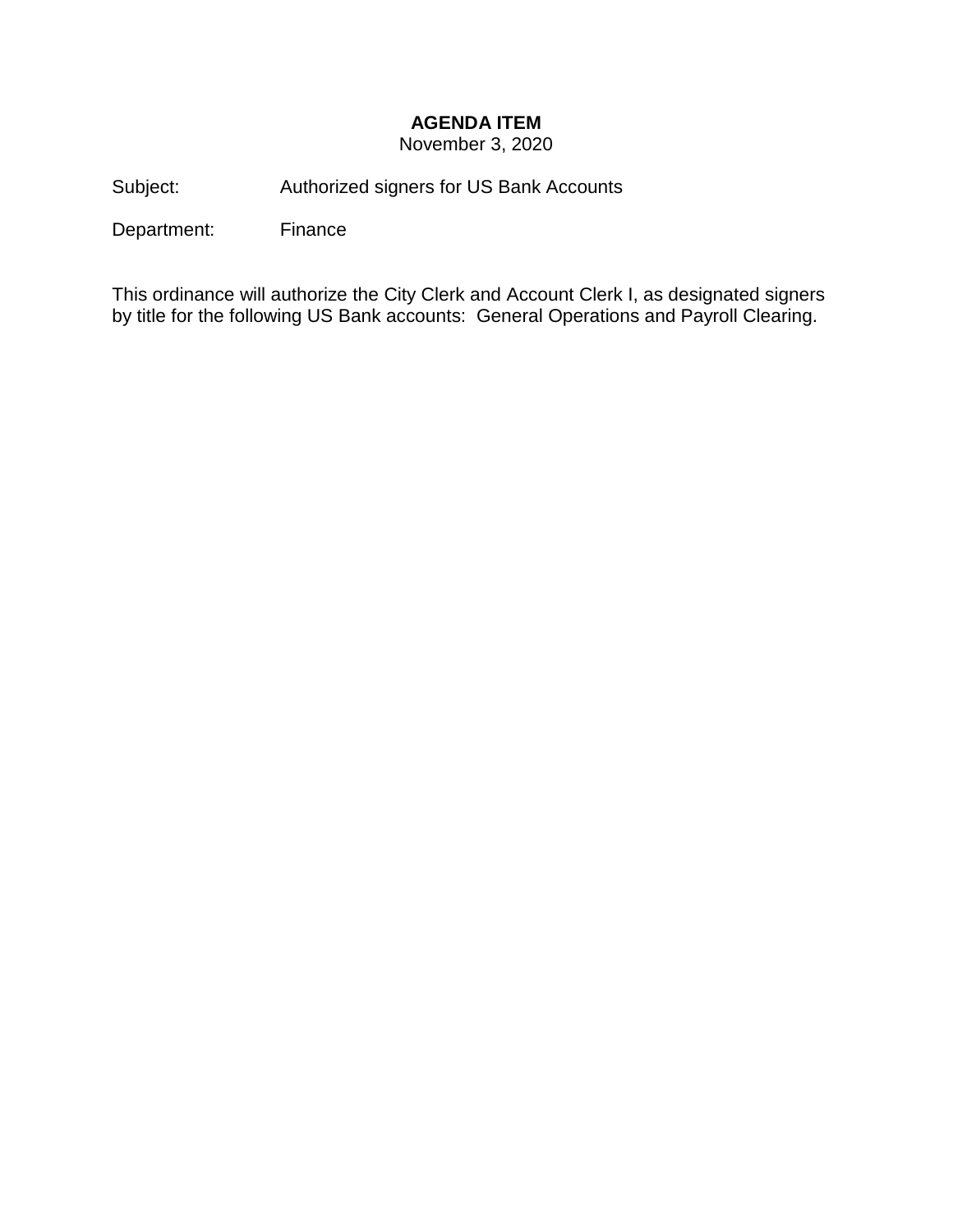## **AGENDA ITEM**

November 3, 2020

Subject: Authorized signers for US Bank Accounts

Department: Finance

This ordinance will authorize the City Clerk and Account Clerk I, as designated signers by title for the following US Bank accounts: General Operations and Payroll Clearing.